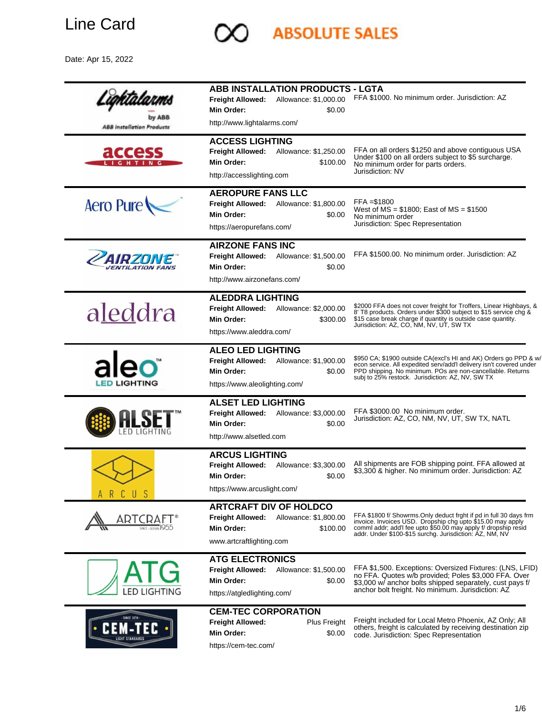

Date: Apr 15, 2022



**ABSOLUTE SALES**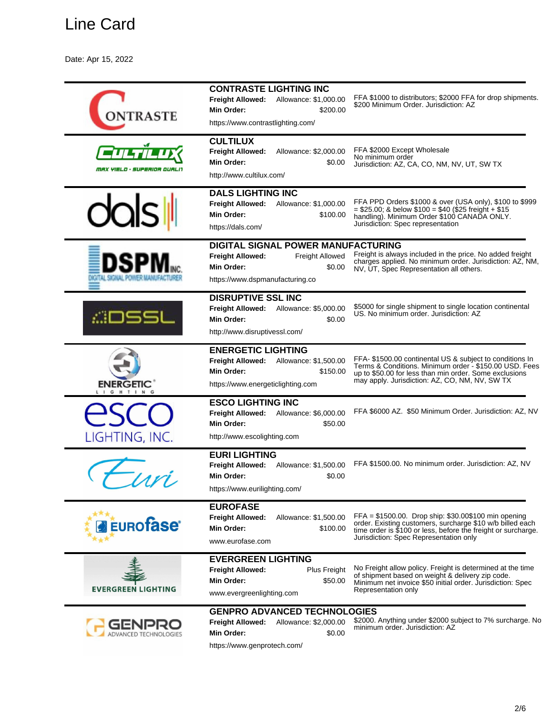Date: Apr 15, 2022

| <b>TRASTE</b>                | <b>CONTRASTE LIGHTING INC</b><br><b>Freight Allowed:</b><br>Allowance: \$1,000.00<br>Min Order:<br>\$200.00<br>https://www.contrastlighting.com/ | FFA \$1000 to distributors; \$2000 FFA for drop shipments.<br>\$200 Minimum Order. Jurisdiction: AZ                                                                                                                            |
|------------------------------|--------------------------------------------------------------------------------------------------------------------------------------------------|--------------------------------------------------------------------------------------------------------------------------------------------------------------------------------------------------------------------------------|
| MAX YIELD • SUPERIOR QUALI'  | <b>CULTILUX</b><br><b>Freight Allowed:</b><br>Allowance: \$2,000.00<br>Min Order:<br>\$0.00<br>http://www.cultilux.com/                          | FFA \$2000 Except Wholesale<br>No minimum order<br>Jurisdiction: AZ, CA, CO, NM, NV, UT, SW TX                                                                                                                                 |
|                              | <b>DALS LIGHTING INC</b><br>Freight Allowed:<br>Allowance: \$1,000.00<br>Min Order:<br>\$100.00<br>https://dals.com/                             | FFA PPD Orders \$1000 & over (USA only), \$100 to \$999<br>$= $25.00$ ; & below \$100 = \$40 (\$25 freight + \$15<br>handling). Minimum Order \$100 CANADA ONLY.<br>Jurisdiction: Spec representation                          |
|                              | DIGITAL SIGNAL POWER MANUFACTURING<br><b>Freight Allowed:</b><br>Freight Allowed<br>Min Order:<br>\$0.00<br>https://www.dspmanufacturing.co      | Freight is always included in the price. No added freight<br>charges applied. No minimum order. Jurisdiction: AZ, NM,<br>NV, UT, Spec Representation all others.                                                               |
| .::DSSl                      | <b>DISRUPTIVE SSL INC</b><br>Freight Allowed: Allowance: \$5,000.00<br>Min Order:<br>\$0.00<br>http://www.disruptivessl.com/                     | \$5000 for single shipment to single location continental<br>US. No minimum order. Jurisdiction: AZ                                                                                                                            |
| <b>ENERGETIC</b><br>LIGHTING | <b>ENERGETIC LIGHTING</b><br><b>Freight Allowed:</b><br>Allowance: \$1,500.00<br>Min Order:<br>\$150.00<br>https://www.energeticlighting.com     | FFA-\$1500.00 continental US & subject to conditions In<br>Terms & Conditions. Minimum order - \$150.00 USD. Fees<br>up to \$50.00 for less than min order. Some exclusions<br>may apply. Jurisdiction: AZ, CO, NM, NV, SW TX  |
| LIGHTING, INC.               | <b>ESCO LIGHTING INC</b><br><b>Freight Allowed:</b><br>Allowance: \$6,000.00<br>Min Order:<br>\$50.00<br>http://www.escolighting.com             | FFA \$6000 AZ. \$50 Minimum Order. Jurisdiction: AZ, NV                                                                                                                                                                        |
|                              | <b>EURI LIGHTING</b><br><b>Freight Allowed:</b><br>Allowance: \$1,500.00<br>Min Order:<br>\$0.00<br>https://www.eurilighting.com/                | FFA \$1500.00. No minimum order. Jurisdiction: AZ, NV                                                                                                                                                                          |
| <b>EUROFASE</b>              | <b>EUROFASE</b><br><b>Freight Allowed:</b><br>Allowance: \$1,500.00<br>Min Order:<br>\$100.00<br>www.eurofase.com                                | $FFA = $1500.00$ . Drop ship: \$30.00\$100 min opening<br>order. Existing customers, surcharge \$10 w/b billed each<br>time order is \$100 or less, before the freight or surcharge.<br>Jurisdiction: Spec Representation only |
| <b>EVERGREEN LIGHTING</b>    | <b>EVERGREEN LIGHTING</b><br><b>Freight Allowed:</b><br>Plus Freight<br>Min Order:<br>\$50.00<br>www.evergreenlighting.com                       | No Freight allow policy. Freight is determined at the time<br>of shipment based on weight & delivery zip code.<br>Minimum net invoice \$50 initial order. Jurisdiction: Spec<br>Representation only                            |
|                              | <b>GENPRO ADVANCED TECHNOLOGIES</b><br><b>Freight Allowed:</b><br>Allowance: \$2,000.00<br>Min Order:<br>\$0.00                                  | \$2000. Anything under \$2000 subject to 7% surcharge. No<br>minimum order. Jurisdiction: AZ                                                                                                                                   |

https://www.genprotech.com/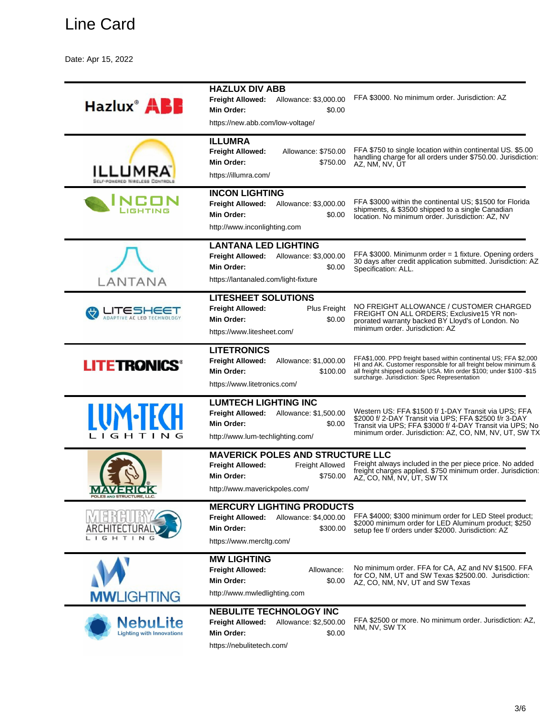Date: Apr 15, 2022

|                                                     | <b>HAZLUX DIV ABB</b>                                                                                                                              |                                                                                                                                                                                                                                                            |
|-----------------------------------------------------|----------------------------------------------------------------------------------------------------------------------------------------------------|------------------------------------------------------------------------------------------------------------------------------------------------------------------------------------------------------------------------------------------------------------|
| Hazlux <sup>®</sup> ABE                             | Freight Allowed: Allowance: \$3,000.00<br>Min Order:<br>\$0.00<br>https://new.abb.com/low-voltage/                                                 | FFA \$3000. No minimum order. Jurisdiction: AZ                                                                                                                                                                                                             |
|                                                     | <b>ILLUMRA</b>                                                                                                                                     |                                                                                                                                                                                                                                                            |
| LUMR)                                               | <b>Freight Allowed:</b><br>Allowance: \$750.00<br>Min Order:<br>\$750.00<br>https://illumra.com/                                                   | FFA \$750 to single location within continental US. \$5.00<br>handling charge for all orders under \$750.00. Jurisdiction:<br>AZ, NM, NV, ŪT                                                                                                               |
|                                                     | <b>INCON LIGHTING</b><br><b>Freight Allowed:</b><br>Allowance: \$3,000.00<br>Min Order:<br>\$0.00<br>http://www.inconlighting.com                  | FFA \$3000 within the continental US; \$1500 for Florida<br>shipments, & \$3500 shipped to a single Canadian<br>location. No minimum order. Jurisdiction: AZ, NV                                                                                           |
| LANTANA                                             | <b>LANTANA LED LIGHTING</b><br>Allowance: \$3,000.00<br><b>Freight Allowed:</b><br>Min Order:<br>\$0.00<br>https://lantanaled.com/light-fixture    | FFA \$3000. Minimunm order $=$ 1 fixture. Opening orders<br>30 days after credit application submitted. Jurisdiction: AZ<br>Specification: ALL.                                                                                                            |
| 162HEET<br>ADAPTIVE AC LED TECHNOLOGY               | <b>LITESHEET SOLUTIONS</b><br><b>Freight Allowed:</b><br>Plus Freight<br>Min Order:<br>\$0.00<br>https://www.litesheet.com/                        | NO FREIGHT ALLOWANCE / CUSTOMER CHARGED<br>FREIGHT ON ALL ORDERS; Exclusive15 YR non-<br>prorated warranty backed BY Lloyd's of London. No<br>minimum order, Jurisdiction: AZ                                                                              |
| <b>LITETRONICS®</b>                                 | <b>LITETRONICS</b><br><b>Freight Allowed:</b><br>Allowance: \$1,000.00<br>Min Order:<br>\$100.00<br>https://www.litetronics.com/                   | FFA\$1,000. PPD freight based within continental US; FFA \$2,000<br>HI and AK. Customer responsible for all freight below minimum &<br>all freight shipped outside USA. Min order \$100; under \$100 -\$15<br>surcharge. Jurisdiction: Spec Representation |
| <b>IUM-TFCH</b><br>LIGHTING                         | <b>LUMTECH LIGHTING INC</b><br><b>Freight Allowed:</b><br>Allowance: \$1,500.00<br><b>Min Order:</b><br>\$0.00<br>http://www.lum-techlighting.com/ | Western US: FFA \$1500 f/ 1-DAY Transit via UPS; FFA<br>\$2000 f/ 2-DAY Transit via UPS; FFA \$2500 f/r 3-DAY<br>Transit via UPS; FFA \$3000 f/ 4-DAY Transit via UPS; No<br>minimum order. Jurisdiction: AZ, CO, NM, NV, UT, SW TX                        |
| POLES AND STRUCTURE, LL                             | <b>MAVERICK POLES AND STRUCTURE LLC</b><br>Freight Allowed<br><b>Freight Allowed:</b><br>Min Order:<br>\$750.00<br>http://www.maverickpoles.com/   | Freight always included in the per piece price. No added<br>freight charges applied. \$750 minimum order. Jurisdiction:<br>AZ, CO, NM, NV, UT, SW TX                                                                                                       |
| T I<br>$\mathsf{N}$                                 | <b>MERCURY LIGHTING PRODUCTS</b><br><b>Freight Allowed:</b><br>Allowance: \$4,000.00<br><b>Min Order:</b><br>\$300.00<br>https://www.mercitg.com/  | FFA \$4000; \$300 minimum order for LED Steel product;<br>\$2000 minimum order for LED Aluminum product; \$250<br>setup fee f/ orders under \$2000. Jurisdiction: AZ                                                                                       |
| <b>MWLIGHTING</b>                                   | <b>MW LIGHTING</b><br><b>Freight Allowed:</b><br>Allowance:<br><b>Min Order:</b><br>\$0.00<br>http://www.mwledlighting.com                         | No minimum order. FFA for CA, AZ and NV \$1500. FFA<br>for CO, NM, UT and SW Texas \$2500.00. Jurisdiction:<br>AZ, CO, NM, NV, UT and SW Texas                                                                                                             |
| <b>NebuLite</b><br><b>Lighting with Innovations</b> | <b>NEBULITE TECHNOLOGY INC</b><br><b>Freight Allowed:</b><br>Allowance: \$2,500.00<br><b>Min Order:</b><br>\$0.00<br>https://nebulitetech.com/     | FFA \$2500 or more. No minimum order. Jurisdiction: AZ,<br>NM, NV, SW TX                                                                                                                                                                                   |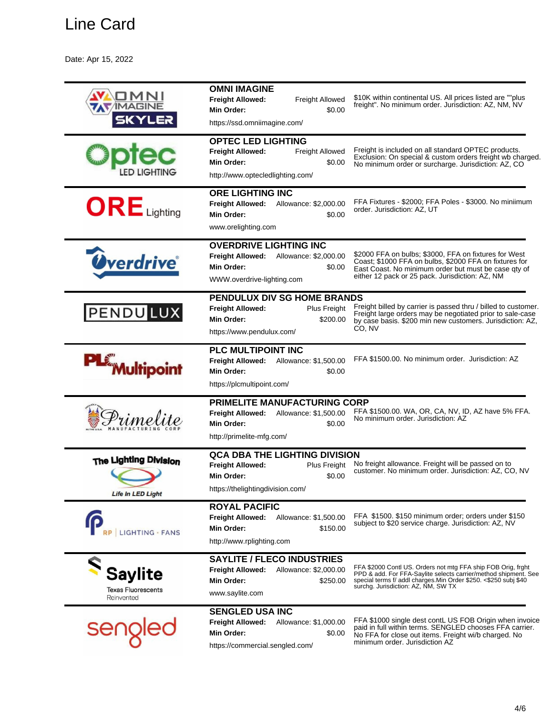Date: Apr 15, 2022

| MAGIN<br>5KYLE;                                           | <b>OMNI IMAGINE</b><br><b>Freight Allowed:</b><br>Freight Allowed<br>\$0.00<br>Min Order:<br>https://ssd.omniimagine.com/                   | \$10K within continental US. All prices listed are ""plus<br>freight". No minimum order. Jurisdiction: AZ, NM, NV                                                                                                                          |
|-----------------------------------------------------------|---------------------------------------------------------------------------------------------------------------------------------------------|--------------------------------------------------------------------------------------------------------------------------------------------------------------------------------------------------------------------------------------------|
|                                                           | <b>OPTEC LED LIGHTING</b><br><b>Freight Allowed:</b><br>Freight Allowed<br>Min Order:<br>\$0.00<br>http://www.optecledlighting.com/         | Freight is included on all standard OPTEC products.<br>Exclusion: On special & custom orders freight wb charged.<br>No minimum order or surcharge. Jurisdiction: AZ, CO                                                                    |
| $ORE$ Lighting                                            | <b>ORE LIGHTING INC</b><br>Freight Allowed: Allowance: \$2,000.00<br>Min Order:<br>\$0.00<br>www.orelighting.com                            | FFA Fixtures - \$2000; FFA Poles - \$3000. No miniimum<br>order. Jurisdiction: AZ, UT                                                                                                                                                      |
| <b><i><u>Overdrive</u></i></b>                            | <b>OVERDRIVE LIGHTING INC</b><br><b>Freight Allowed:</b><br>Allowance: \$2,000.00<br>Min Order:<br>\$0.00<br>WWW.overdrive-lighting.com     | \$2000 FFA on bulbs; \$3000, FFA on fixtures for West<br>Coast; \$1000 FFA on bulbs, \$2000 FFA on fixtures for<br>East Coast. No minimum order but must be case qty of<br>either 12 pack or 25 pack. Jurisdiction: AZ, NM                 |
| <b>PENDULUX</b>                                           | PENDULUX DIV SG HOME BRANDS<br><b>Freight Allowed:</b><br>Plus Freight<br>Min Order:<br>\$200.00<br>https://www.pendulux.com/               | Freight billed by carrier is passed thru / billed to customer.<br>Freight large orders may be negotiated prior to sale-case<br>by case basis. \$200 min new customers. Jurisdiction: AZ.<br>CO, NV                                         |
| <b>PLE Multipoint</b>                                     | PLC MULTIPOINT INC<br>Freight Allowed: Allowance: \$1,500.00<br>Min Order:<br>\$0.00<br>https://plcmultipoint.com/                          | FFA \$1500.00. No minimum order. Jurisdiction: AZ                                                                                                                                                                                          |
| imel                                                      | PRIMELITE MANUFACTURING CORP<br><b>Freight Allowed:</b><br>Allowance: \$1,500.00<br>Min Order:<br>\$0.00<br>http://primelite-mfg.com/       | FFA \$1500.00. WA, OR, CA, NV, ID, AZ have 5% FFA.<br>No minimum order. Jurisdiction: AZ                                                                                                                                                   |
| The Lighting Division<br><b>Life In LED Light</b>         | <b>QCA DBA THE LIGHTING DIVISION</b><br><b>Freight Allowed:</b><br>Plus Freight<br>\$0.00<br>Min Order:<br>https://thelightingdivision.com/ | No freight allowance. Freight will be passed on to<br>customer. No minimum order. Jurisdiction: AZ, CO, NV                                                                                                                                 |
| LIGHTING · FANS                                           | <b>ROYAL PACIFIC</b><br><b>Freight Allowed:</b><br>Allowance: \$1,500.00<br>\$150.00<br>Min Order:<br>http://www.rplighting.com             | FFA \$1500. \$150 minimum order; orders under \$150<br>subject to \$20 service charge. Jurisdiction: AZ, NV                                                                                                                                |
| <b>Saylite</b><br><b>Texas Fluorescents</b><br>Reinvented | <b>SAYLITE / FLECO INDUSTRIES</b><br>Freight Allowed:<br>Allowance: \$2,000.00<br>Min Order:<br>\$250.00<br>www.saylite.com                 | FFA \$2000 Contl US. Orders not mtg FFA ship FOB Orig, frght<br>PPD & add. For FFA-Saylite selects carrier/method shipment. See<br>special terms f/ addl charges. Min Order \$250. <\$250 subj \$40<br>surchg. Jurisdiction: AZ, NM, SW TX |
| seng                                                      | <b>SENGLED USA INC</b><br>Freight Allowed:<br>Allowance: \$1,000.00<br>Min Order:<br>\$0.00<br>https://commercial.sengled.com/              | FFA \$1000 single dest contL US FOB Origin when invoice<br>paid in full within terms. SENGLED chooses FFA carrier.<br>No FFA for close out items. Freight wi/b charged. No<br>minimum order. Jurisdiction AZ                               |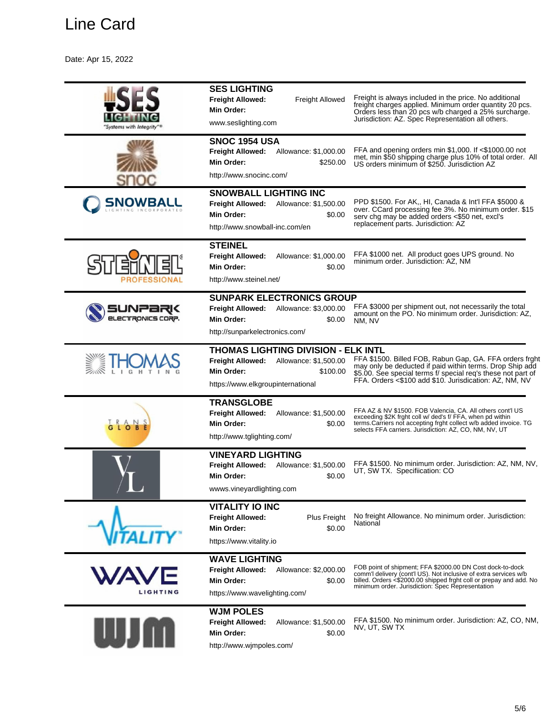Date: Apr 15, 2022

| "Systems with Integrity"®       | <b>SES LIGHTING</b><br><b>Freight Allowed:</b><br><b>Freight Allowed</b><br>Min Order:<br>www.seslighting.com                                                 | Freight is always included in the price. No additional<br>freight charges applied. Minimum order quantity 20 pcs.<br>Orders less than 20 pcs w/b charged a 25% surcharge.<br>Jurisdiction: AZ. Spec Representation all others.                        |
|---------------------------------|---------------------------------------------------------------------------------------------------------------------------------------------------------------|-------------------------------------------------------------------------------------------------------------------------------------------------------------------------------------------------------------------------------------------------------|
|                                 | <b>SNOC 1954 USA</b><br><b>Freight Allowed:</b><br>Allowance: \$1,000.00<br>Min Order:<br>\$250.00<br>http://www.snocinc.com/                                 | FFA and opening orders min \$1,000. If <\$1000.00 not<br>met, min \$50 shipping charge plus 10% of total order. All<br>US orders minimum of \$250. Jurisdiction AZ                                                                                    |
| <b>SNOWBALL</b><br>TING INCORPO | <b>SNOWBALL LIGHTING INC</b><br><b>Freight Allowed:</b><br>Allowance: \$1,500.00<br>Min Order:<br>\$0.00<br>http://www.snowball-inc.com/en                    | PPD \$1500. For AK,, HI, Canada & Int'l FFA \$5000 &<br>over. CCard processing fee 3%. No minimum order. \$15<br>serv chg may be added orders <\$50 net, excl's<br>replacement parts. Jurisdiction: AZ                                                |
|                                 | <b>STEINEL</b><br><b>Freight Allowed:</b><br>Allowance: \$1,000.00<br>Min Order:<br>\$0.00<br>http://www.steinel.net/                                         | FFA \$1000 net. All product goes UPS ground. No<br>minimum order. Jurisdiction: AZ, NM                                                                                                                                                                |
| elecTronics corp.               | <b>SUNPARK ELECTRONICS GROUP</b><br><b>Freight Allowed:</b><br>Allowance: \$3,000.00<br>Min Order:<br>\$0.00<br>http://sunparkelectronics.com/                | FFA \$3000 per shipment out, not necessarily the total<br>amount on the PO. No minimum order. Jurisdiction: AZ.<br>NM, NV                                                                                                                             |
|                                 | <b>THOMAS LIGHTING DIVISION - ELK INTL</b><br>Allowance: \$1,500.00<br><b>Freight Allowed:</b><br>Min Order:<br>\$100.00<br>https://www.elkgroupinternational | FFA \$1500. Billed FOB, Rabun Gap, GA. FFA orders frght<br>may only be deducted if paid within terms. Drop Ship add<br>\$5.00. See special terms f/ special req's these not part of<br>FFA. Orders <\$100 add \$10. Jurisdication: AZ, NM, NV         |
|                                 | <b>TRANSGLOBE</b><br><b>Freight Allowed:</b><br>Allowance: \$1,500.00<br>Min Order:<br>\$0.00<br>http://www.tglighting.com/                                   | FFA AZ & NV \$1500. FOB Valencia, CA. All others cont'l US<br>exceeding \$2K frght coll w/ ded's f/ FFA, when pd within<br>terms.Carriers not accepting frght collect w/b added invoice. TG<br>selects FFA carriers. Jurisdiction: AZ, CO, NM, NV, UT |
|                                 | <b>VINEYARD LIGHTING</b><br><b>Freight Allowed:</b><br>Allowance: \$1,500.00<br>Min Order:<br>\$0.00<br>wwws.vineyardlighting.com                             | FFA \$1500. No minimum order. Jurisdiction: AZ, NM, NV,<br>UT, SW TX. Specifiication: CO                                                                                                                                                              |
| ATIT                            | <b>VITALITY IO INC</b><br><b>Freight Allowed:</b><br>Plus Freight<br>Min Order:<br>\$0.00<br>https://www.vitality.io                                          | No freight Allowance. No minimum order. Jurisdiction:<br>National                                                                                                                                                                                     |
| <b>WAVI</b><br><b>LIGHTING</b>  | <b>WAVE LIGHTING</b><br><b>Freight Allowed:</b><br>Allowance: \$2,000.00<br>Min Order:<br>\$0.00<br>https://www.wavelighting.com/                             | FOB point of shipment; FFA \$2000.00 DN Cost dock-to-dock<br>comm'l delivery (cont'l US). Not inclusive of extra services w/b<br>billed. Orders <\$2000.00 shipped frght coll or prepay and add. No minimum order. Jurisdiction: Spec Representation  |
|                                 | <b>WJM POLES</b><br><b>Freight Allowed:</b><br>Allowance: \$1,500.00<br>Min Order:<br>\$0.00<br>http://www.wjmpoles.com/                                      | FFA \$1500. No minimum order. Jurisdiction: AZ, CO, NM,<br>NV, UT, SW TX                                                                                                                                                                              |